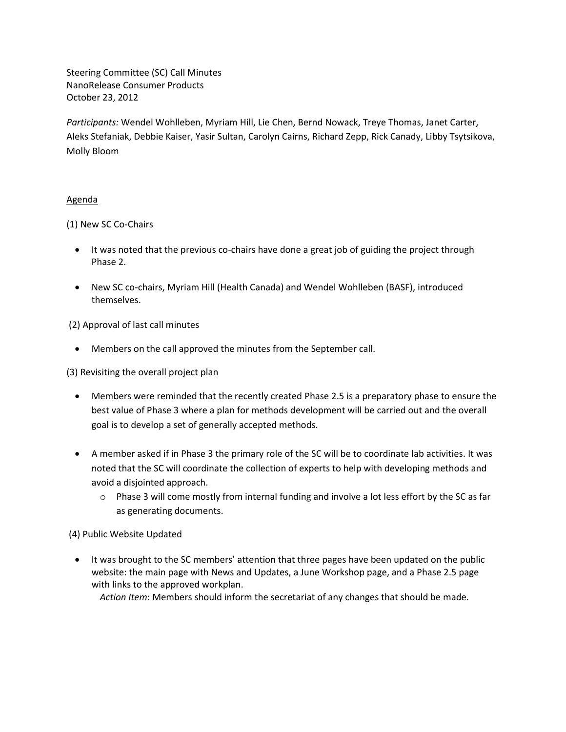Steering Committee (SC) Call Minutes NanoRelease Consumer Products October 23, 2012

*Participants:* Wendel Wohlleben, Myriam Hill, Lie Chen, Bernd Nowack, Treye Thomas, Janet Carter, Aleks Stefaniak, Debbie Kaiser, Yasir Sultan, Carolyn Cairns, Richard Zepp, Rick Canady, Libby Tsytsikova, Molly Bloom

## Agenda

(1) New SC Co-Chairs

- It was noted that the previous co-chairs have done a great job of guiding the project through Phase 2.
- New SC co-chairs, Myriam Hill (Health Canada) and Wendel Wohlleben (BASF), introduced themselves.

(2) Approval of last call minutes

Members on the call approved the minutes from the September call.

(3) Revisiting the overall project plan

- Members were reminded that the recently created Phase 2.5 is a preparatory phase to ensure the best value of Phase 3 where a plan for methods development will be carried out and the overall goal is to develop a set of generally accepted methods.
- A member asked if in Phase 3 the primary role of the SC will be to coordinate lab activities. It was noted that the SC will coordinate the collection of experts to help with developing methods and avoid a disjointed approach.
	- $\circ$  Phase 3 will come mostly from internal funding and involve a lot less effort by the SC as far as generating documents.

(4) Public Website Updated

 It was brought to the SC members' attention that three pages have been updated on the public website: the main page with News and Updates, a June Workshop page, and a Phase 2.5 page with links to the approved workplan.

*Action Item*: Members should inform the secretariat of any changes that should be made.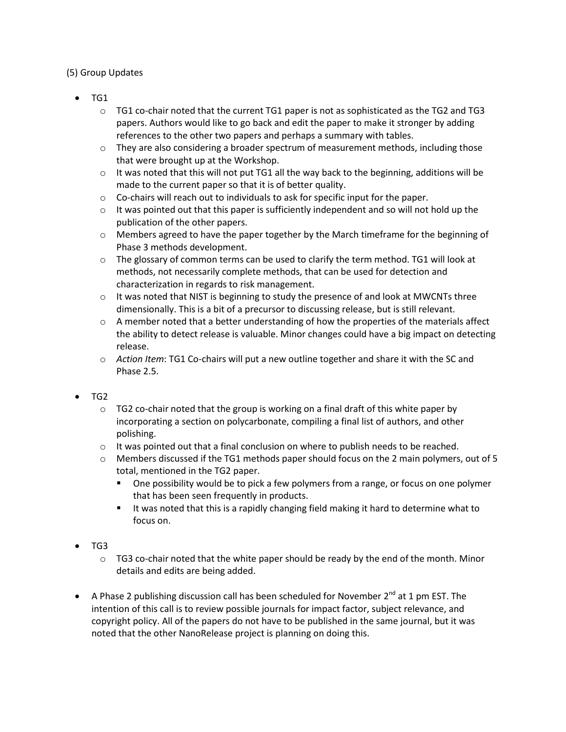## (5) Group Updates

- TG1
	- $\circ$  TG1 co-chair noted that the current TG1 paper is not as sophisticated as the TG2 and TG3 papers. Authors would like to go back and edit the paper to make it stronger by adding references to the other two papers and perhaps a summary with tables.
	- $\circ$  They are also considering a broader spectrum of measurement methods, including those that were brought up at the Workshop.
	- $\circ$  It was noted that this will not put TG1 all the way back to the beginning, additions will be made to the current paper so that it is of better quality.
	- o Co-chairs will reach out to individuals to ask for specific input for the paper.
	- $\circ$  It was pointed out that this paper is sufficiently independent and so will not hold up the publication of the other papers.
	- $\circ$  Members agreed to have the paper together by the March timeframe for the beginning of Phase 3 methods development.
	- $\circ$  The glossary of common terms can be used to clarify the term method. TG1 will look at methods, not necessarily complete methods, that can be used for detection and characterization in regards to risk management.
	- $\circ$  It was noted that NIST is beginning to study the presence of and look at MWCNTs three dimensionally. This is a bit of a precursor to discussing release, but is still relevant.
	- $\circ$  A member noted that a better understanding of how the properties of the materials affect the ability to detect release is valuable. Minor changes could have a big impact on detecting release.
	- o *Action Item*: TG1 Co-chairs will put a new outline together and share it with the SC and Phase 2.5.

#### $\bullet$  TG2

- $\circ$  TG2 co-chair noted that the group is working on a final draft of this white paper by incorporating a section on polycarbonate, compiling a final list of authors, and other polishing.
- $\circ$  It was pointed out that a final conclusion on where to publish needs to be reached.
- $\circ$  Members discussed if the TG1 methods paper should focus on the 2 main polymers, out of 5 total, mentioned in the TG2 paper.
	- One possibility would be to pick a few polymers from a range, or focus on one polymer that has been seen frequently in products.
	- If was noted that this is a rapidly changing field making it hard to determine what to focus on.
- TG3
	- $\circ$  TG3 co-chair noted that the white paper should be ready by the end of the month. Minor details and edits are being added.
- A Phase 2 publishing discussion call has been scheduled for November  $2^{nd}$  at 1 pm EST. The intention of this call is to review possible journals for impact factor, subject relevance, and copyright policy. All of the papers do not have to be published in the same journal, but it was noted that the other NanoRelease project is planning on doing this.